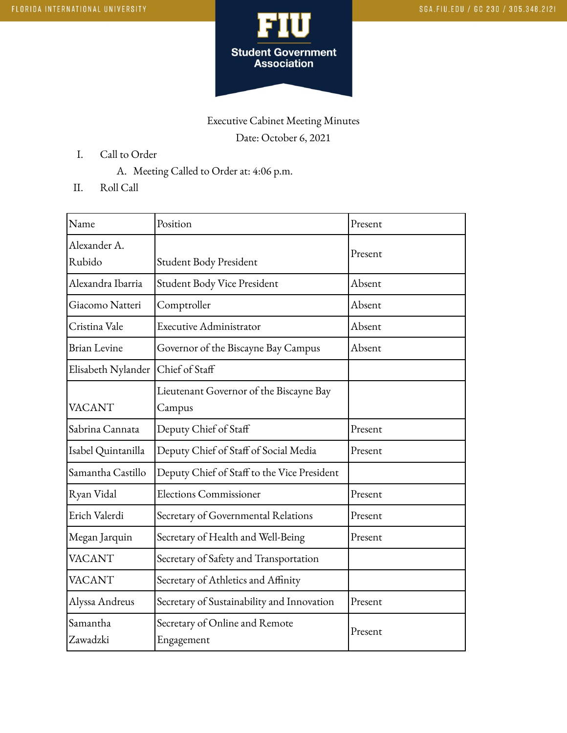

## Executive Cabinet Meeting Minutes Date: October 6, 2021

- I. Call to Order
	- A. Meeting Called to Order at: 4:06 p.m.
- II. Roll Call

| Name                   | Position                                          | Present |
|------------------------|---------------------------------------------------|---------|
| Alexander A.<br>Rubido | Student Body President                            | Present |
| Alexandra Ibarria      | Student Body Vice President                       | Absent  |
| Giacomo Natteri        | Comptroller                                       | Absent  |
| Cristina Vale          | <b>Executive Administrator</b>                    | Absent  |
| <b>Brian Levine</b>    | Governor of the Biscayne Bay Campus               | Absent  |
| Elisabeth Nylander     | Chief of Staff                                    |         |
| <b>VACANT</b>          | Lieutenant Governor of the Biscayne Bay<br>Campus |         |
| Sabrina Cannata        | Deputy Chief of Staff                             | Present |
| Isabel Quintanilla     | Deputy Chief of Staff of Social Media             | Present |
| Samantha Castillo      | Deputy Chief of Staff to the Vice President       |         |
| Ryan Vidal             | <b>Elections Commissioner</b>                     | Present |
| Erich Valerdi          | Secretary of Governmental Relations               | Present |
| Megan Jarquin          | Secretary of Health and Well-Being                | Present |
| <b>VACANT</b>          | Secretary of Safety and Transportation            |         |
| VACANT                 | Secretary of Athletics and Affinity               |         |
| Alyssa Andreus         | Secretary of Sustainability and Innovation        | Present |
| Samantha<br>Zawadzki   | Secretary of Online and Remote<br>Engagement      | Present |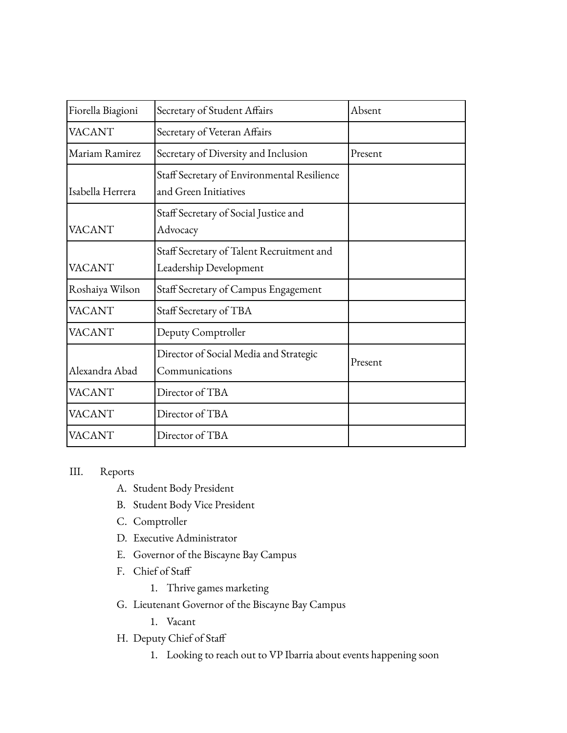| Fiorella Biagioni | Secretary of Student Affairs                                         | Absent  |
|-------------------|----------------------------------------------------------------------|---------|
| <b>VACANT</b>     | Secretary of Veteran Affairs                                         |         |
| Mariam Ramirez    | Secretary of Diversity and Inclusion                                 | Present |
| Isabella Herrera  | Staff Secretary of Environmental Resilience<br>and Green Initiatives |         |
| <b>VACANT</b>     | Staff Secretary of Social Justice and<br>Advocacy                    |         |
| <b>VACANT</b>     | Staff Secretary of Talent Recruitment and<br>Leadership Development  |         |
| Roshaiya Wilson   | Staff Secretary of Campus Engagement                                 |         |
| <b>VACANT</b>     | Staff Secretary of TBA                                               |         |
| <b>VACANT</b>     | Deputy Comptroller                                                   |         |
| Alexandra Abad    | Director of Social Media and Strategic<br>Communications             | Present |
| <b>VACANT</b>     | Director of TBA                                                      |         |
| <b>VACANT</b>     | Director of TBA                                                      |         |
| <b>VACANT</b>     | Director of TBA                                                      |         |

## III. Reports

- A. Student Body President
- B. Student Body Vice President
- C. Comptroller
- D. Executive Administrator
- E. Governor of the Biscayne Bay Campus
- F. Chief of Staff
	- 1. Thrive games marketing
- G. Lieutenant Governor of the Biscayne Bay Campus
	- 1. Vacant
- H. Deputy Chief of Staff
	- 1. Looking to reach out to VP Ibarria about events happening soon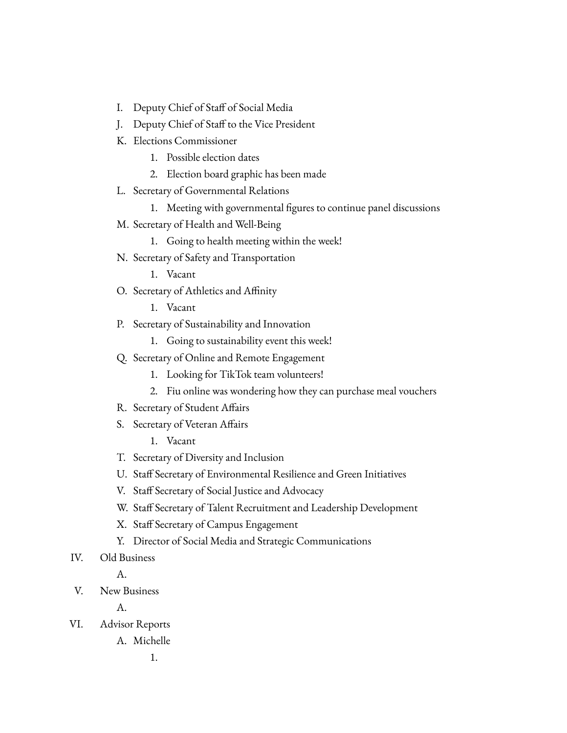- I. Deputy Chief of Staff of Social Media
- J. Deputy Chief of Staff to the Vice President
- K. Elections Commissioner
	- 1. Possible election dates
	- 2. Election board graphic has been made
- L. Secretary of Governmental Relations
	- 1. Meeting with governmental figures to continue panel discussions
- M. Secretary of Health and Well-Being
	- 1. Going to health meeting within the week!
- N. Secretary of Safety and Transportation
	- 1. Vacant
- O. Secretary of Athletics and Affinity
	- 1. Vacant
- P. Secretary of Sustainability and Innovation
	- 1. Going to sustainability event this week!
- Q. Secretary of Online and Remote Engagement
	- 1. Looking for TikTok team volunteers!
	- 2. Fiu online was wondering how they can purchase meal vouchers
- R. Secretary of Student Affairs
- S. Secretary of Veteran Affairs

1. Vacant

- T. Secretary of Diversity and Inclusion
- U. Staff Secretary of Environmental Resilience and Green Initiatives
- V. Staff Secretary of Social Justice and Advocacy
- W. Staff Secretary of Talent Recruitment and Leadership Development
- X. Staff Secretary of Campus Engagement
- Y. Director of Social Media and Strategic Communications
- IV. Old Business

A.

V. New Business

A.

- VI. Advisor Reports
	- A. Michelle

1.